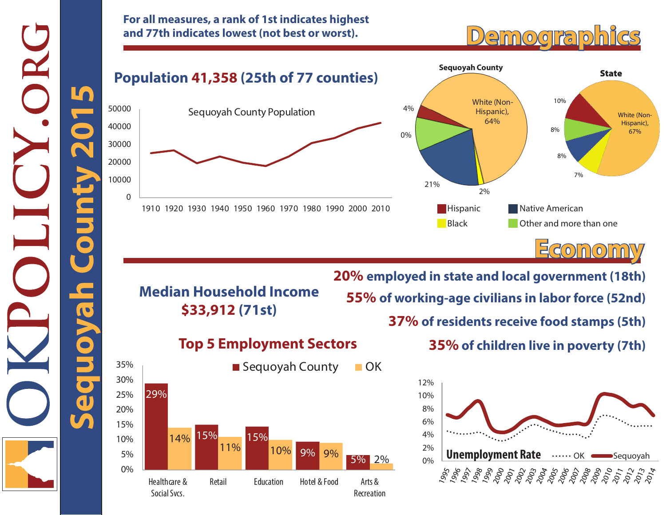**For all measures, a rank of 1st indicates highest and 77th indicates lowest (not best or worst).**

# **Demographics**



**Economy 20% employed in state and local government (18th)**

**Median Household Income \$33,912 (71st)**

## **55% of working-age civilians in labor force (52nd) 37% of residents receive food stamps (5th)**

### **Top 5 Employment Sectors**



**35% of children live in poverty (7th)**